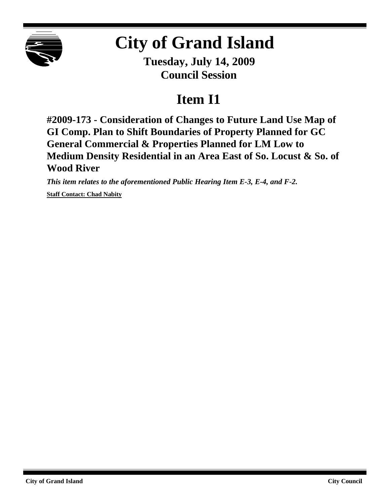

## **City of Grand Island**

**Tuesday, July 14, 2009 Council Session**

## **Item I1**

**#2009-173 - Consideration of Changes to Future Land Use Map of GI Comp. Plan to Shift Boundaries of Property Planned for GC General Commercial & Properties Planned for LM Low to Medium Density Residential in an Area East of So. Locust & So. of Wood River**

*This item relates to the aforementioned Public Hearing Item E-3, E-4, and F-2.*

**Staff Contact: Chad Nabity**